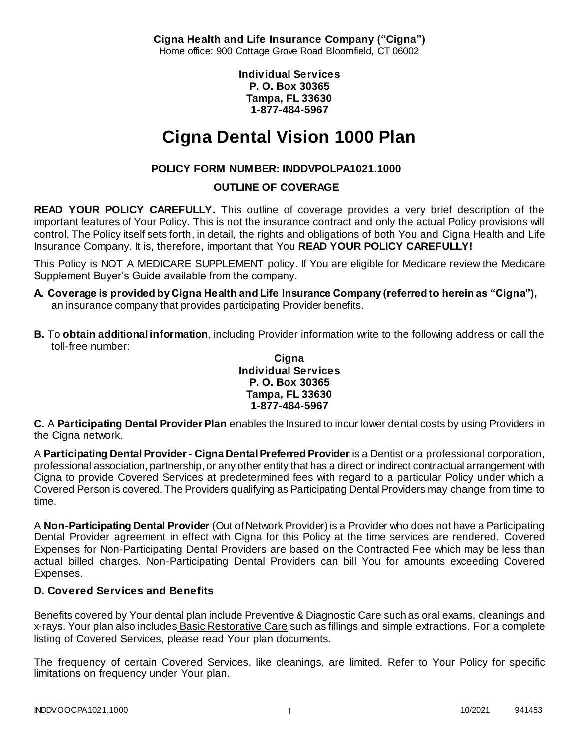**Cigna Health and Life Insurance Company ("Cigna")** Home office: 900 Cottage Grove Road Bloomfield, CT 06002

> **Individual Services P. O. Box 30365 Tampa, FL 33630 1-877-484-5967**

# **Cigna Dental Vision 1000 Plan**

# **POLICY FORM NUMBER: INDDVPOLPA1021.1000**

# **OUTLINE OF COVERAGE**

**READ YOUR POLICY CAREFULLY.** This outline of coverage provides a very brief description of the important features of Your Policy. This is not the insurance contract and only the actual Policy provisions will control. The Policy itself sets forth, in detail, the rights and obligations of both You and Cigna Health and Life Insurance Company. It is, therefore, important that You **READ YOUR POLICY CAREFULLY!** 

This Policy is NOT A MEDICARE SUPPLEMENT policy. If You are eligible for Medicare review the Medicare Supplement Buyer's Guide available from the company.

- **A. Coverage is provided by Cigna Health and Life Insurance Company (referred to herein as "Cigna"),**  an insurance company that provides participating Provider benefits.
- **B.** To **obtain additional information**, including Provider information write to the following address or call the toll-free number:

#### **Cigna Individual Services P. O. Box 30365 Tampa, FL 33630 1-877-484-5967**

**C.** A **Participating Dental Provider Plan** enables the Insured to incur lower dental costs by using Providers in the Cigna network.

A **Participating Dental Provider - Cigna Dental Preferred Provider** is a Dentist or a professional corporation, professional association, partnership, or any other entity that has a direct or indirect contractual arrangement with Cigna to provide Covered Services at predetermined fees with regard to a particular Policy under which a Covered Person is covered. The Providers qualifying as Participating Dental Providers may change from time to time.

A **Non-Participating Dental Provider** (Out of Network Provider) is a Provider who does not have a Participating Dental Provider agreement in effect with Cigna for this Policy at the time services are rendered. Covered Expenses for Non-Participating Dental Providers are based on the Contracted Fee which may be less than actual billed charges. Non-Participating Dental Providers can bill You for amounts exceeding Covered Expenses.

## **D. Covered Services and Benefits**

Benefits covered by Your dental plan include Preventive & Diagnostic Care such as oral exams, cleanings and x-rays. Your plan also includes Basic Restorative Care such as fillings and simple extractions. For a complete listing of Covered Services, please read Your plan documents.

The frequency of certain Covered Services, like cleanings, are limited. Refer to Your Policy for specific limitations on frequency under Your plan.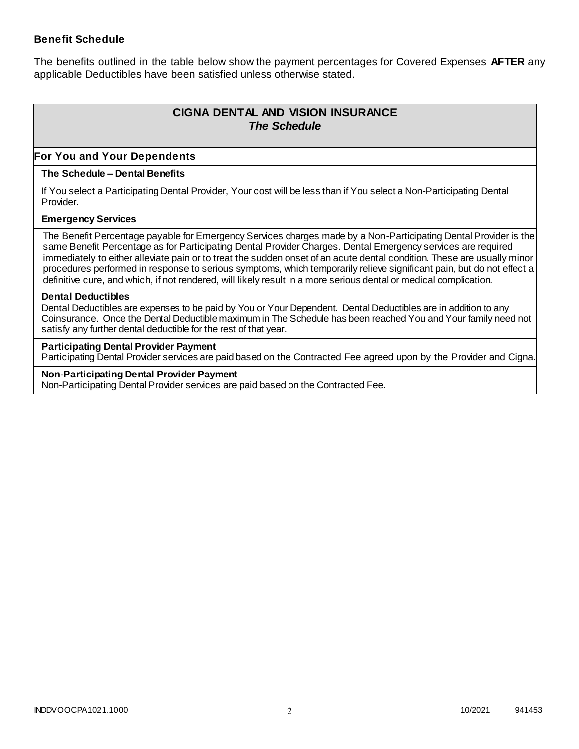### **Benefit Schedule**

The benefits outlined in the table below show the payment percentages for Covered Expenses **AFTER** any applicable Deductibles have been satisfied unless otherwise stated.

# **CIGNA DENTAL AND VISION INSURANCE** *The Schedule*

### **For You and Your Dependents**

#### **The Schedule – Dental Benefits**

If You select a Participating Dental Provider, Your cost will be less than if You select a Non-Participating Dental Provider.

#### **Emergency Services**

The Benefit Percentage payable for Emergency Services charges made by a Non-Participating Dental Provider is the same Benefit Percentage as for Participating Dental Provider Charges. Dental Emergency services are required immediately to either alleviate pain or to treat the sudden onset of an acute dental condition. These are usually minor procedures performed in response to serious symptoms, which temporarily relieve significant pain, but do not effect a definitive cure, and which, if not rendered, will likely result in a more serious dental or medical complication.

#### **Dental Deductibles**

Dental Deductibles are expenses to be paid by You or Your Dependent. Dental Deductibles are in addition to any Coinsurance. Once the Dental Deductible maximum in The Schedule has been reached You and Your family need not satisfy any further dental deductible for the rest of that year.

#### **Participating Dental Provider Payment**

Participating Dental Provider services are paid based on the Contracted Fee agreed upon by the Provider and Cigna.

**Non-Participating Dental Provider Payment** Non-Participating Dental Provider services are paid based on the Contracted Fee.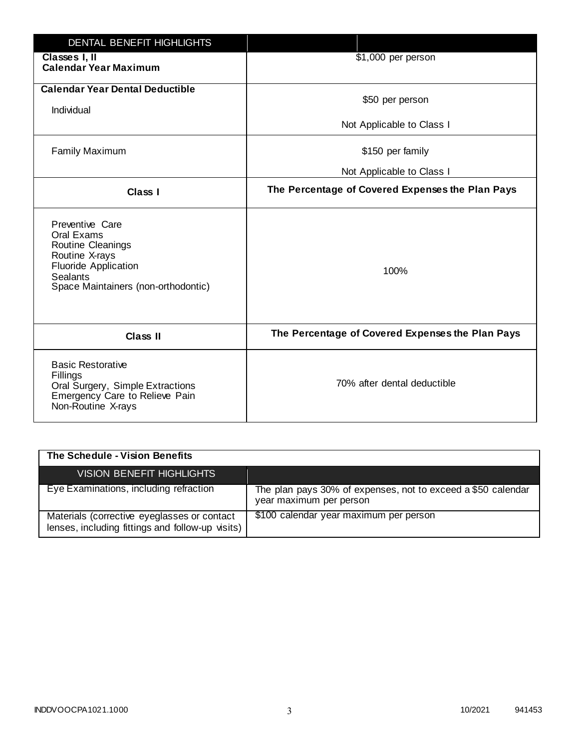| <b>DENTAL BENEFIT HIGHLIGHTS</b>                                                                                                                              |                                                  |
|---------------------------------------------------------------------------------------------------------------------------------------------------------------|--------------------------------------------------|
| Classes I, II<br><b>Calendar Year Maximum</b>                                                                                                                 | \$1,000 per person                               |
| <b>Calendar Year Dental Deductible</b><br>Individual                                                                                                          | \$50 per person                                  |
|                                                                                                                                                               | Not Applicable to Class I                        |
| <b>Family Maximum</b>                                                                                                                                         | \$150 per family                                 |
|                                                                                                                                                               | Not Applicable to Class I                        |
| <b>Class I</b>                                                                                                                                                | The Percentage of Covered Expenses the Plan Pays |
| Preventive Care<br>Oral Exams<br>Routine Cleanings<br>Routine X-rays<br><b>Fluoride Application</b><br><b>Sealants</b><br>Space Maintainers (non-orthodontic) | 100%                                             |
| <b>Class II</b>                                                                                                                                               | The Percentage of Covered Expenses the Plan Pays |
| <b>Basic Restorative</b><br>Fillings<br>Oral Surgery, Simple Extractions<br>Emergency Care to Relieve Pain<br>Non-Routine X-rays                              | 70% after dental deductible                      |

| The Schedule - Vision Benefits                                                                  |                                                                                         |
|-------------------------------------------------------------------------------------------------|-----------------------------------------------------------------------------------------|
| <b>VISION BENEFIT HIGHLIGHTS</b>                                                                |                                                                                         |
| Eye Examinations, including refraction                                                          | The plan pays 30% of expenses, not to exceed a \$50 calendar<br>year maximum per person |
| Materials (corrective eyeglasses or contact<br>lenses, including fittings and follow-up visits) | \$100 calendar year maximum per person                                                  |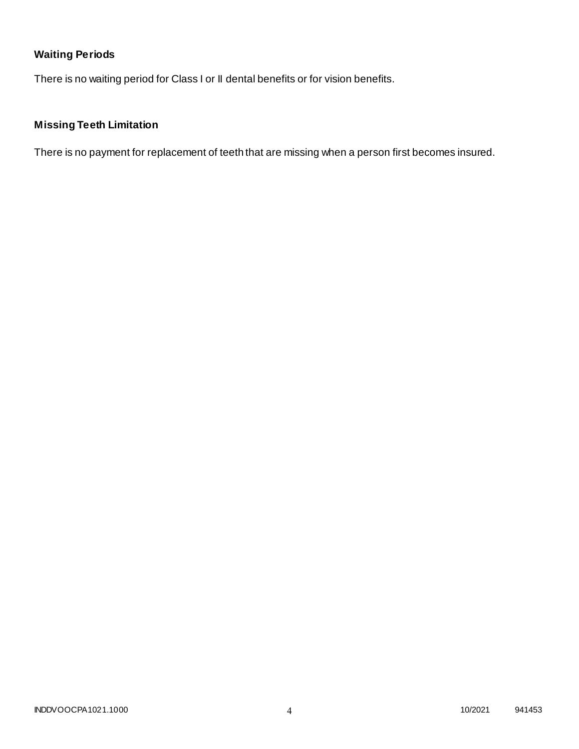# **Waiting Periods**

There is no waiting period for Class I or II dental benefits or for vision benefits.

# **Missing Teeth Limitation**

There is no payment for replacement of teeth that are missing when a person first becomes insured.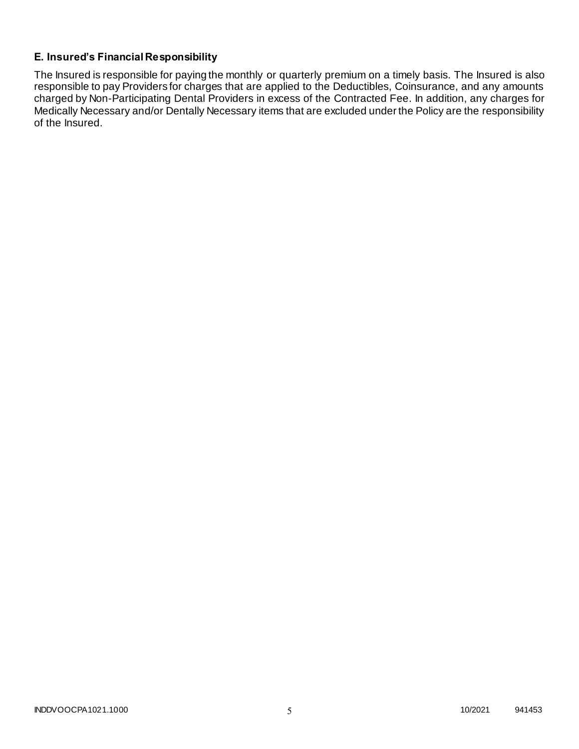# **E. Insured's Financial Responsibility**

The Insured is responsible for paying the monthly or quarterly premium on a timely basis. The Insured is also responsible to pay Providers for charges that are applied to the Deductibles, Coinsurance, and any amounts charged by Non-Participating Dental Providers in excess of the Contracted Fee. In addition, any charges for Medically Necessary and/or Dentally Necessary items that are excluded under the Policy are the responsibility of the Insured.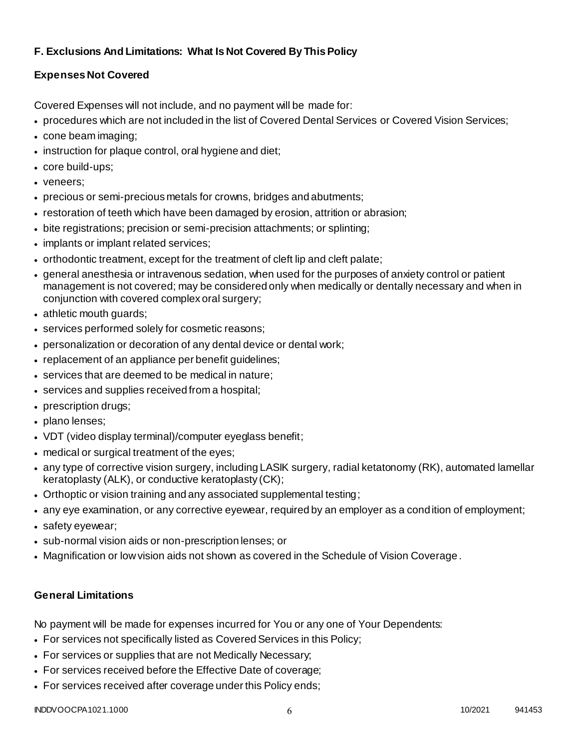# **F. Exclusions And Limitations: What Is Not Covered By This Policy**

# **Expenses Not Covered**

Covered Expenses will not include, and no payment will be made for:

- procedures which are not included in the list of Covered Dental Services or Covered Vision Services;
- cone beam imaging;
- instruction for plaque control, oral hygiene and diet;
- core build-ups;
- veneers;
- precious or semi-precious metals for crowns, bridges and abutments;
- restoration of teeth which have been damaged by erosion, attrition or abrasion;
- bite registrations; precision or semi-precision attachments; or splinting;
- implants or implant related services;
- orthodontic treatment, except for the treatment of cleft lip and cleft palate;
- general anesthesia or intravenous sedation, when used for the purposes of anxiety control or patient management is not covered; may be considered only when medically or dentally necessary and when in conjunction with covered complex oral surgery;
- athletic mouth guards;
- services performed solely for cosmetic reasons;
- personalization or decoration of any dental device or dental work;
- replacement of an appliance per benefit quidelines;
- services that are deemed to be medical in nature;
- services and supplies received from a hospital;
- prescription drugs;
- plano lenses;
- VDT (video display terminal)/computer eyeglass benefit;
- medical or surgical treatment of the eyes;
- any type of corrective vision surgery, including LASIK surgery, radial ketatonomy (RK), automated lamellar keratoplasty (ALK), or conductive keratoplasty (CK);
- Orthoptic or vision training and any associated supplemental testing;
- any eye examination, or any corrective eyewear, required by an employer as a condition of employment;
- safety eyewear;
- sub-normal vision aids or non-prescription lenses; or
- Magnification or low vision aids not shown as covered in the Schedule of Vision Coverage.

# **General Limitations**

No payment will be made for expenses incurred for You or any one of Your Dependents:

- For services not specifically listed as Covered Services in this Policy;
- For services or supplies that are not Medically Necessary;
- For services received before the Effective Date of coverage;
- For services received after coverage under this Policy ends;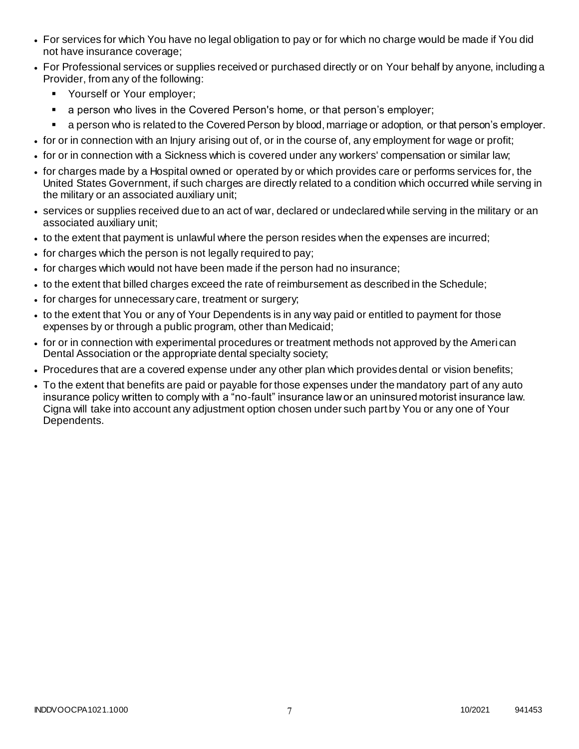- For services for which You have no legal obligation to pay or for which no charge would be made if You did not have insurance coverage;
- For Professional services or supplies received or purchased directly or on Your behalf by anyone, including a Provider, from any of the following:
	- **Yourself or Your employer;**
	- **a** person who lives in the Covered Person's home, or that person's employer;
	- a person who is related to the Covered Person by blood, marriage or adoption, or that person's employer.
- for or in connection with an Injury arising out of, or in the course of, any employment for wage or profit;
- for or in connection with a Sickness which is covered under any workers' compensation or similar law;
- for charges made by a Hospital owned or operated by or which provides care or performs services for, the United States Government, if such charges are directly related to a condition which occurred while serving in the military or an associated auxiliary unit;
- services or supplies received due to an act of war, declared or undeclared while serving in the military or an associated auxiliary unit;
- to the extent that payment is unlawful where the person resides when the expenses are incurred;
- for charges which the person is not legally required to pay;
- for charges which would not have been made if the person had no insurance;
- to the extent that billed charges exceed the rate of reimbursement as described in the Schedule;
- for charges for unnecessary care, treatment or surgery;
- to the extent that You or any of Your Dependents is in any way paid or entitled to payment for those expenses by or through a public program, other than Medicaid;
- for or in connection with experimental procedures or treatment methods not approved by the Ameri can Dental Association or the appropriate dental specialty society;
- Procedures that are a covered expense under any other plan which provides dental or vision benefits;
- To the extent that benefits are paid or payable for those expenses under the mandatory part of any auto insurance policy written to comply with a "no-fault" insurance law or an uninsured motorist insurance law. Cigna will take into account any adjustment option chosen under such part by You or any one of Your Dependents.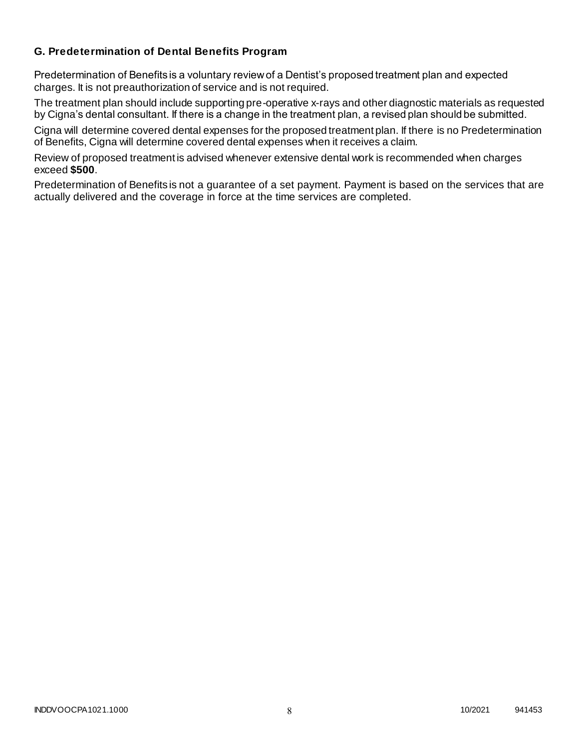### **G. Predetermination of Dental Benefits Program**

Predetermination of Benefits is a voluntary review of a Dentist's proposed treatment plan and expected charges. It is not preauthorization of service and is not required.

The treatment plan should include supporting pre-operative x-rays and other diagnostic materials as requested by Cigna's dental consultant. If there is a change in the treatment plan, a revised plan should be submitted.

Cigna will determine covered dental expenses for the proposed treatment plan. If there is no Predetermination of Benefits, Cigna will determine covered dental expenses when it receives a claim.

Review of proposed treatment is advised whenever extensive dental work is recommended when charges exceed **\$500**.

Predetermination of Benefits is not a guarantee of a set payment. Payment is based on the services that are actually delivered and the coverage in force at the time services are completed.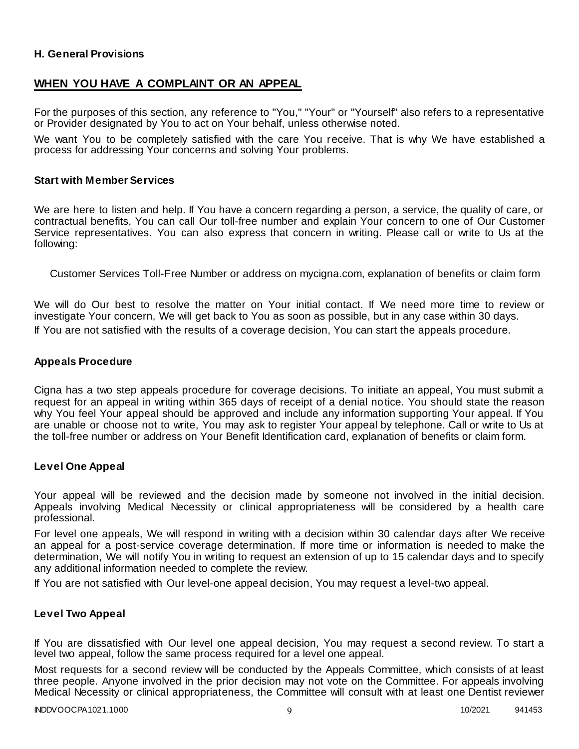### **H. General Provisions**

### **WHEN YOU HAVE A COMPLAINT OR AN APPEAL**

For the purposes of this section, any reference to "You," "Your" or "Yourself" also refers to a representative or Provider designated by You to act on Your behalf, unless otherwise noted.

We want You to be completely satisfied with the care You receive. That is why We have established a process for addressing Your concerns and solving Your problems.

#### **Start with Member Services**

We are here to listen and help. If You have a concern regarding a person, a service, the quality of care, or contractual benefits, You can call Our toll-free number and explain Your concern to one of Our Customer Service representatives. You can also express that concern in writing. Please call or write to Us at the following:

Customer Services Toll-Free Number or address on mycigna.com, explanation of benefits or claim form

We will do Our best to resolve the matter on Your initial contact. If We need more time to review or investigate Your concern, We will get back to You as soon as possible, but in any case within 30 days. If You are not satisfied with the results of a coverage decision, You can start the appeals procedure.

#### **Appeals Procedure**

Cigna has a two step appeals procedure for coverage decisions. To initiate an appeal, You must submit a request for an appeal in writing within 365 days of receipt of a denial notice. You should state the reason why You feel Your appeal should be approved and include any information supporting Your appeal. If You are unable or choose not to write, You may ask to register Your appeal by telephone. Call or write to Us at the toll-free number or address on Your Benefit Identification card, explanation of benefits or claim form.

#### **Level One Appeal**

Your appeal will be reviewed and the decision made by someone not involved in the initial decision. Appeals involving Medical Necessity or clinical appropriateness will be considered by a health care professional.

For level one appeals, We will respond in writing with a decision within 30 calendar days after We receive an appeal for a post-service coverage determination. If more time or information is needed to make the determination, We will notify You in writing to request an extension of up to 15 calendar days and to specify any additional information needed to complete the review.

If You are not satisfied with Our level-one appeal decision, You may request a level-two appeal.

#### **Level Two Appeal**

If You are dissatisfied with Our level one appeal decision, You may request a second review. To start a level two appeal, follow the same process required for a level one appeal.

Most requests for a second review will be conducted by the Appeals Committee, which consists of at least three people. Anyone involved in the prior decision may not vote on the Committee. For appeals involving Medical Necessity or clinical appropriateness, the Committee will consult with at least one Dentist reviewer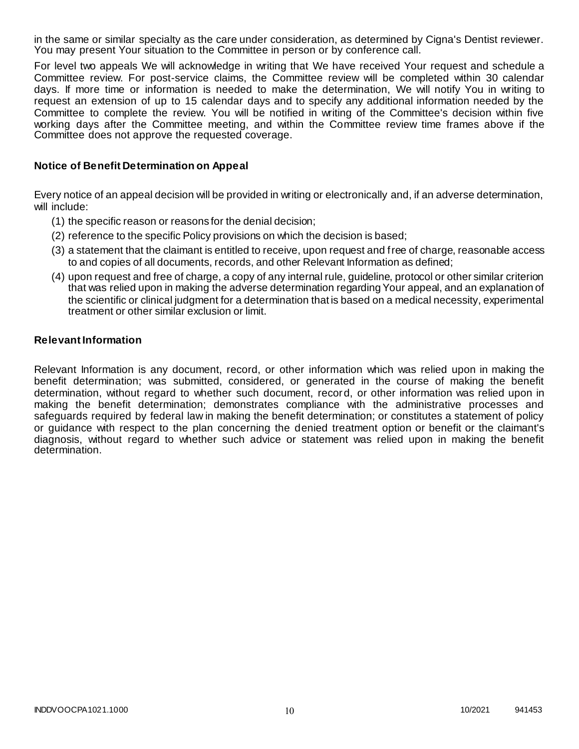in the same or similar specialty as the care under consideration, as determined by Cigna's Dentist reviewer. You may present Your situation to the Committee in person or by conference call.

For level two appeals We will acknowledge in writing that We have received Your request and schedule a Committee review. For post-service claims, the Committee review will be completed within 30 calendar days. If more time or information is needed to make the determination, We will notify You in writing to request an extension of up to 15 calendar days and to specify any additional information needed by the Committee to complete the review. You will be notified in writing of the Committee's decision within five working days after the Committee meeting, and within the Committee review time frames above if the Committee does not approve the requested coverage.

#### **Notice of Benefit Determination on Appeal**

Every notice of an appeal decision will be provided in writing or electronically and, if an adverse determination, will include:

- (1) the specific reason or reasons for the denial decision;
- (2) reference to the specific Policy provisions on which the decision is based;
- (3) a statement that the claimant is entitled to receive, upon request and free of charge, reasonable access to and copies of all documents, records, and other Relevant Information as defined;
- (4) upon request and free of charge, a copy of any internal rule, guideline, protocol or other similar criterion that was relied upon in making the adverse determination regarding Your appeal, and an explanation of the scientific or clinical judgment for a determination that is based on a medical necessity, experimental treatment or other similar exclusion or limit.

#### **Relevant Information**

Relevant Information is any document, record, or other information which was relied upon in making the benefit determination; was submitted, considered, or generated in the course of making the benefit determination, without regard to whether such document, record, or other information was relied upon in making the benefit determination; demonstrates compliance with the administrative processes and safeguards required by federal law in making the benefit determination; or constitutes a statement of policy or guidance with respect to the plan concerning the denied treatment option or benefit or the claimant's diagnosis, without regard to whether such advice or statement was relied upon in making the benefit determination.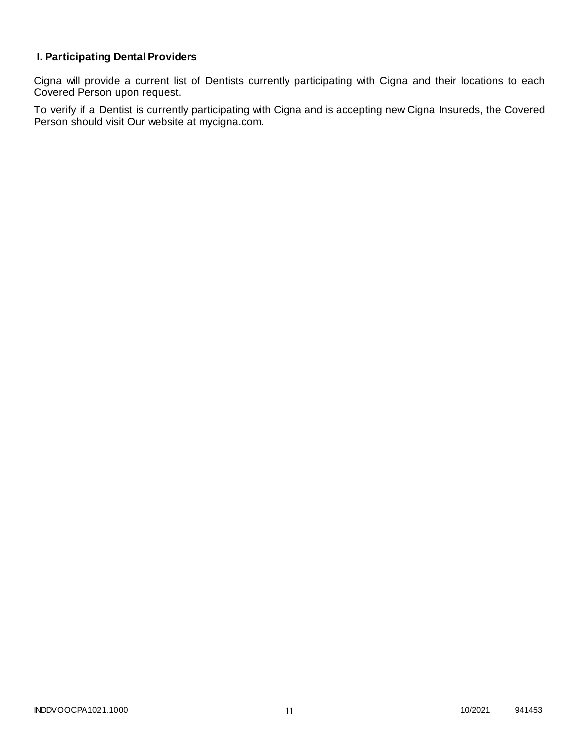# **I. Participating Dental Providers**

Cigna will provide a current list of Dentists currently participating with Cigna and their locations to each Covered Person upon request.

To verify if a Dentist is currently participating with Cigna and is accepting new Cigna Insureds, the Covered Person should visit Our website at mycigna.com.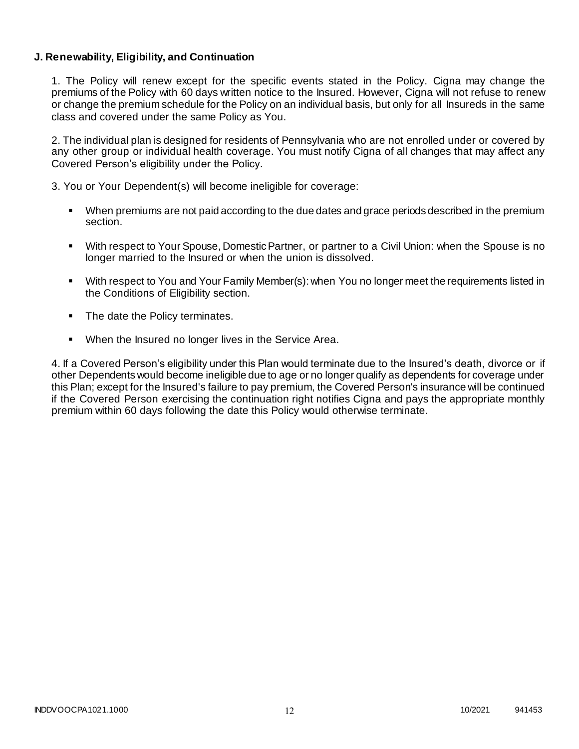### **J. Renewability, Eligibility, and Continuation**

1. The Policy will renew except for the specific events stated in the Policy. Cigna may change the premiums of the Policy with 60 days written notice to the Insured. However, Cigna will not refuse to renew or change the premium schedule for the Policy on an individual basis, but only for all Insureds in the same class and covered under the same Policy as You.

2. The individual plan is designed for residents of Pennsylvania who are not enrolled under or covered by any other group or individual health coverage. You must notify Cigna of all changes that may affect any Covered Person's eligibility under the Policy.

3. You or Your Dependent(s) will become ineligible for coverage:

- When premiums are not paid according to the due dates and grace periods described in the premium section.
- With respect to Your Spouse, Domestic Partner, or partner to a Civil Union: when the Spouse is no longer married to the Insured or when the union is dissolved.
- With respect to You and Your Family Member(s): when You no longer meet the requirements listed in the Conditions of Eligibility section.
- The date the Policy terminates.
- When the Insured no longer lives in the Service Area.

4. If a Covered Person's eligibility under this Plan would terminate due to the Insured's death, divorce or if other Dependents would become ineligible due to age or no longer qualify as dependents for coverage under this Plan; except for the Insured's failure to pay premium, the Covered Person's insurance will be continued if the Covered Person exercising the continuation right notifies Cigna and pays the appropriate monthly premium within 60 days following the date this Policy would otherwise terminate.